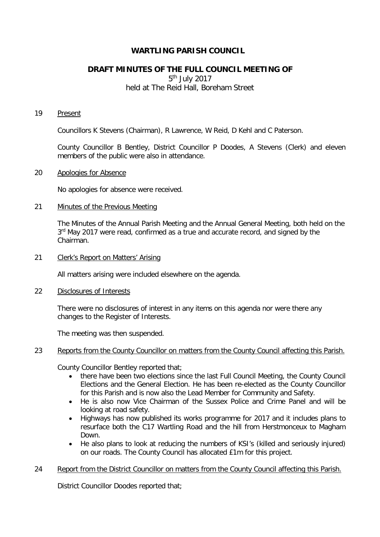# **WARTLING PARISH COUNCIL**

# **DRAFT MINUTES OF THE FULL COUNCIL MEETING OF**

5th July 2017

held at The Reid Hall, Boreham Street

#### 19 Present

Councillors K Stevens (Chairman), R Lawrence, W Reid, D Kehl and C Paterson.

County Councillor B Bentley, District Councillor P Doodes, A Stevens (Clerk) and eleven members of the public were also in attendance.

## 20 Apologies for Absence

No apologies for absence were received.

### 21 Minutes of the Previous Meeting

The Minutes of the Annual Parish Meeting and the Annual General Meeting, both held on the 3<sup>rd</sup> May 2017 were read, confirmed as a true and accurate record, and signed by the Chairman.

## 21 Clerk's Report on Matters' Arising

All matters arising were included elsewhere on the agenda.

## 22 Disclosures of Interests

There were no disclosures of interest in any items on this agenda nor were there any changes to the Register of Interests.

The meeting was then suspended.

## 23 Reports from the County Councillor on matters from the County Council affecting this Parish.

County Councillor Bentley reported that;

- there have been two elections since the last Full Council Meeting, the County Council Elections and the General Election. He has been re-elected as the County Councillor for this Parish and is now also the Lead Member for Community and Safety.
- He is also now Vice Chairman of the Sussex Police and Crime Panel and will be looking at road safety.
- Highways has now published its works programme for 2017 and it includes plans to resurface both the C17 Wartling Road and the hill from Herstmonceux to Magham Down.
- He also plans to look at reducing the numbers of KSI's (killed and seriously injured) on our roads. The County Council has allocated £1m for this project.

#### 24 Report from the District Councillor on matters from the County Council affecting this Parish.

District Councillor Doodes reported that;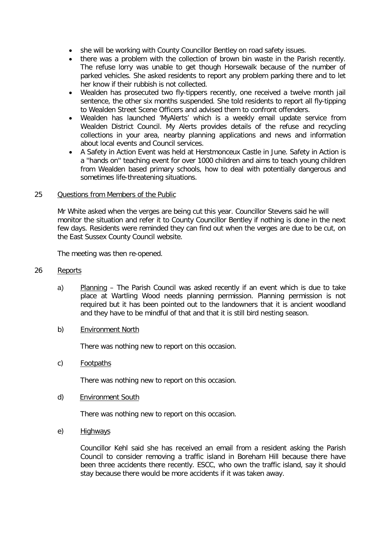- she will be working with County Councillor Bentley on road safety issues.
- there was a problem with the collection of brown bin waste in the Parish recently. The refuse lorry was unable to get though Horsewalk because of the number of parked vehicles. She asked residents to report any problem parking there and to let her know if their rubbish is not collected.
- Wealden has prosecuted two fly-tippers recently, one received a twelve month jail sentence, the other six months suspended. She told residents to report all fly-tipping to Wealden Street Scene Officers and advised them to confront offenders.
- Wealden has launched 'MyAlerts' which is a weekly email update service from Wealden District Council. My Alerts provides details of the refuse and recycling collections in your area, nearby planning applications and news and information about local events and Council services.
- A Safety in Action Event was held at Herstmonceux Castle in June. Safety in Action is a ''hands on'' teaching event for over 1000 children and aims to teach young children from Wealden based primary schools, how to deal with potentially dangerous and sometimes life-threatening situations.

## 25 Questions from Members of the Public

Mr White asked when the verges are being cut this year. Councillor Stevens said he will monitor the situation and refer it to County Councillor Bentley if nothing is done in the next few days. Residents were reminded they can find out when the verges are due to be cut, on the East Sussex County Council website.

The meeting was then re-opened.

#### 26 Reports

a) Planning – The Parish Council was asked recently if an event which is due to take place at Wartling Wood needs planning permission. Planning permission is not required but it has been pointed out to the landowners that it is ancient woodland and they have to be mindful of that and that it is still bird nesting season.

## b) Environment North

There was nothing new to report on this occasion.

c) Footpaths

There was nothing new to report on this occasion.

d) Environment South

There was nothing new to report on this occasion.

e) Highways

Councillor Kehl said she has received an email from a resident asking the Parish Council to consider removing a traffic island in Boreham Hill because there have been three accidents there recently. ESCC, who own the traffic island, say it should stay because there would be more accidents if it was taken away.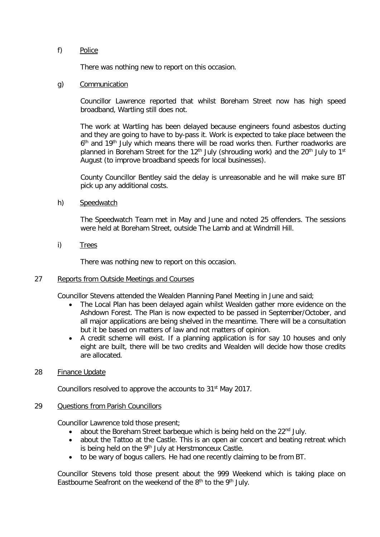## f) Police

There was nothing new to report on this occasion.

## g) Communication

Councillor Lawrence reported that whilst Boreham Street now has high speed broadband, Wartling still does not.

The work at Wartling has been delayed because engineers found asbestos ducting and they are going to have to by-pass it. Work is expected to take place between the 6<sup>th</sup> and 19<sup>th</sup> July which means there will be road works then. Further roadworks are planned in Boreham Street for the 12<sup>th</sup> July (shrouding work) and the 20<sup>th</sup> July to 1<sup>st</sup> August (to improve broadband speeds for local businesses).

County Councillor Bentley said the delay is unreasonable and he will make sure BT pick up any additional costs.

h) Speedwatch

The Speedwatch Team met in May and June and noted 25 offenders. The sessions were held at Boreham Street, outside The Lamb and at Windmill Hill.

i) Trees

There was nothing new to report on this occasion.

## 27 Reports from Outside Meetings and Courses

Councillor Stevens attended the Wealden Planning Panel Meeting in June and said;

- The Local Plan has been delayed again whilst Wealden gather more evidence on the Ashdown Forest. The Plan is now expected to be passed in September/October, and all major applications are being shelved in the meantime. There will be a consultation but it be based on matters of law and not matters of opinion.
- A credit scheme will exist. If a planning application is for say 10 houses and only eight are built, there will be two credits and Wealden will decide how those credits are allocated.

#### 28 Finance Update

Councillors resolved to approve the accounts to 31st May 2017.

### 29 Questions from Parish Councillors

Councillor Lawrence told those present;

- about the Boreham Street barbeque which is being held on the 22<sup>nd</sup> July.
- about the Tattoo at the Castle. This is an open air concert and beating retreat which is being held on the  $9<sup>th</sup>$  July at Herstmonceux Castle.
- to be wary of bogus callers. He had one recently claiming to be from BT.

Councillor Stevens told those present about the 999 Weekend which is taking place on Eastbourne Seafront on the weekend of the  $8<sup>th</sup>$  to the  $9<sup>th</sup>$  July.